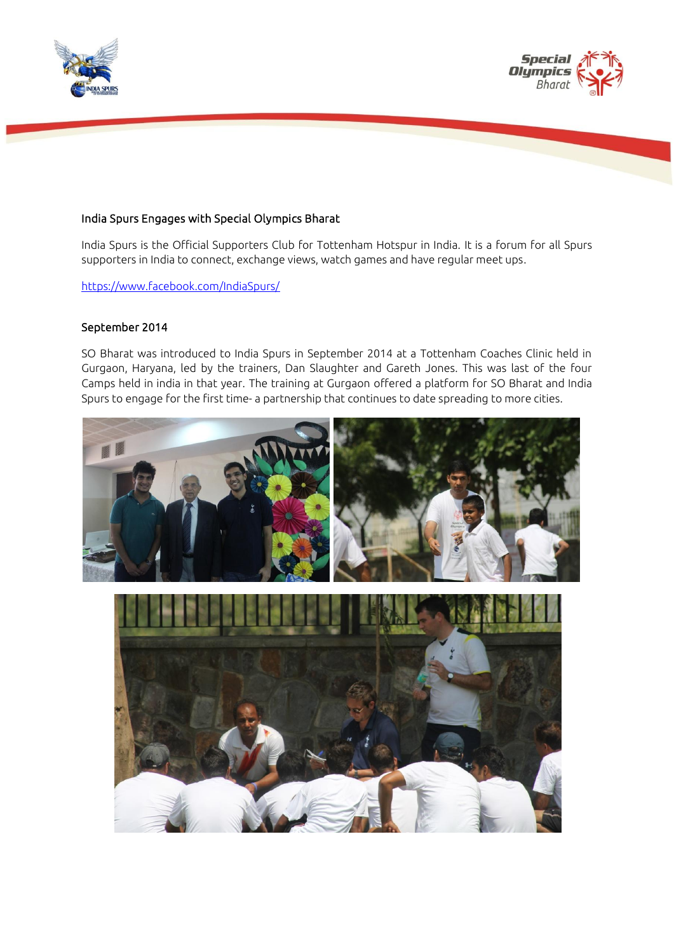



## India Spurs Engages with Special Olympics Bharat

India Spurs is the Official Supporters Club for Tottenham Hotspur in India. It is a forum for all Spurs supporters in India to connect, exchange views, watch games and have regular meet ups.

<https://www.facebook.com/IndiaSpurs/>

#### September 2014

SO Bharat was introduced to India Spurs in September 2014 at a Tottenham Coaches Clinic held in Gurgaon, Haryana, led by the trainers, Dan Slaughter and Gareth Jones. This was last of the four Camps held in india in that year. The training at Gurgaon offered a platform for SO Bharat and India Spurs to engage for the first time- a partnership that continues to date spreading to more cities.

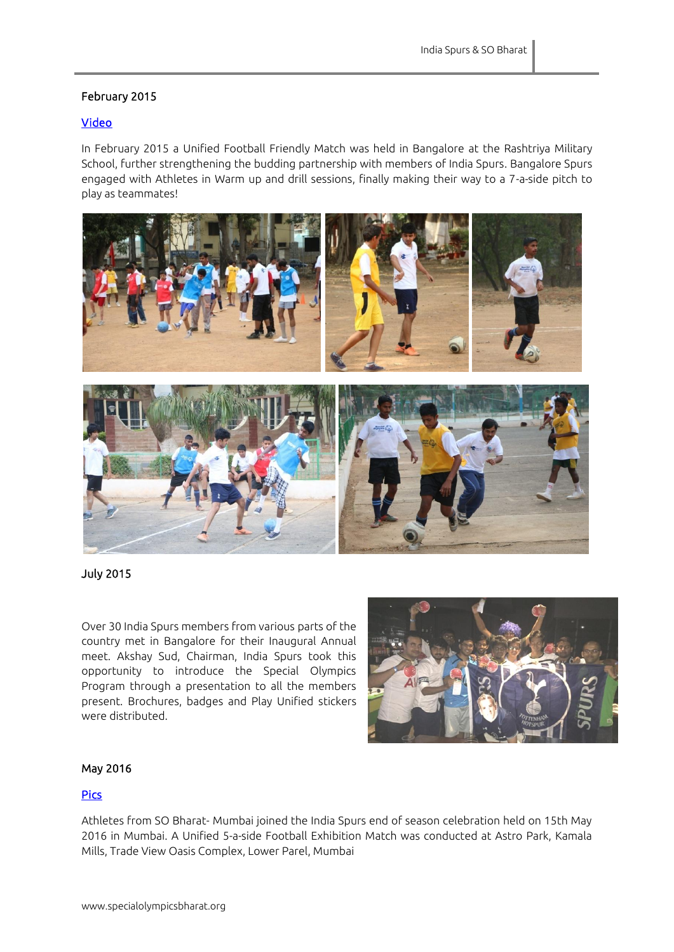# February 2015

## [Video](https://www.youtube.com/watch?v=rYcux63BnkY)

In February 2015 a Unified Football Friendly Match was held in Bangalore at the Rashtriya Military School, further strengthening the budding partnership with members of India Spurs. Bangalore Spurs engaged with Athletes in Warm up and drill sessions, finally making their way to a 7-a-side pitch to play as teammates!



July 2015

Over 30 India Spurs members from various parts of the country met in Bangalore for their Inaugural Annual meet. Akshay Sud, Chairman, India Spurs took this opportunity to introduce the Special Olympics Program through a presentation to all the members present. Brochures, badges and Play Unified stickers were distributed.



### May 2016

## [Pics](https://www.facebook.com/pg/Specialolympicsbharat/photos/?tab=album&album_id=1106272396098696)

Athletes from SO Bharat- Mumbai joined the India Spurs end of season celebration held on 15th May 2016 in Mumbai. A Unified 5-a-side Football Exhibition Match was conducted at Astro Park, Kamala Mills, Trade View Oasis Complex, Lower Parel, Mumbai